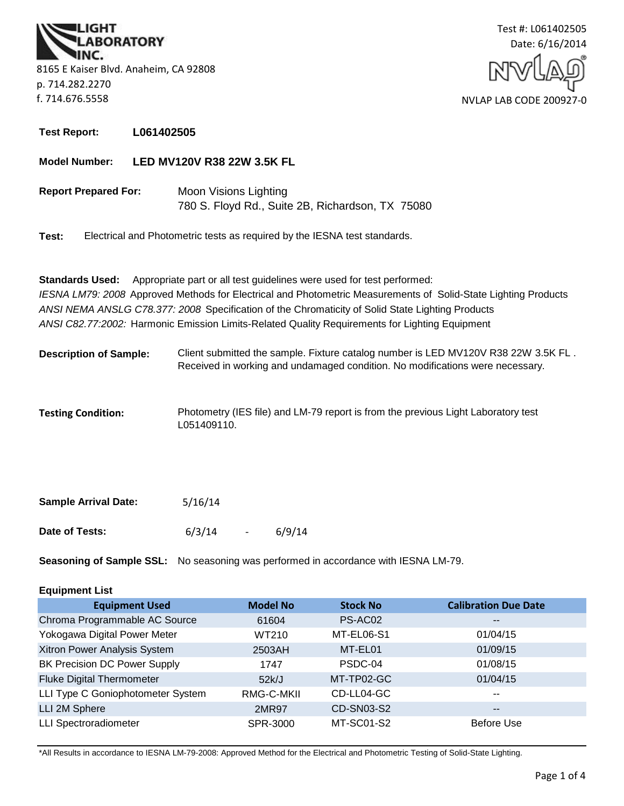**BORATORY** 8165 E Kaiser Blvd. Anaheim, CA 92808 p. 714.282.2270 f. 714.676.5558



**Test Report: L061402505**

**Model Number: LED MV120V R38 22W 3.5K FL**

780 S. Floyd Rd., Suite 2B, Richardson, TX 75080 **Report Prepared For:** Moon Visions Lighting

**Test:** Electrical and Photometric tests as required by the IESNA test standards.

**Standards Used:** Appropriate part or all test guidelines were used for test performed: *IESNA LM79: 2008* Approved Methods for Electrical and Photometric Measurements of Solid-State Lighting Products *ANSI NEMA ANSLG C78.377: 2008* Specification of the Chromaticity of Solid State Lighting Products *ANSI C82.77:2002:* Harmonic Emission Limits-Related Quality Requirements for Lighting Equipment

- Client submitted the sample. Fixture catalog number is LED MV120V R38 22W 3.5K FL . Received in working and undamaged condition. No modifications were necessary. **Description of Sample:**
- **Testing Condition:** Photometry (IES file) and LM-79 report is from the previous Light Laboratory test L051409110.

| <b>Sample Arrival Date:</b> | 5/16/14 |                          |        |
|-----------------------------|---------|--------------------------|--------|
| Date of Tests:              | 6/3/14  | $\overline{\phantom{0}}$ | 6/9/14 |

**Seasoning of Sample SSL:** No seasoning was performed in accordance with IESNA LM-79.

## **Equipment List**

| <b>Equipment Used</b>               | <b>Model No</b> | <b>Stock No</b>   | <b>Calibration Due Date</b> |
|-------------------------------------|-----------------|-------------------|-----------------------------|
| Chroma Programmable AC Source       | 61604           | PS-AC02           | $\overline{\phantom{m}}$    |
| Yokogawa Digital Power Meter        | WT210           | MT-EL06-S1        | 01/04/15                    |
| Xitron Power Analysis System        | 2503AH          | MT-EL01           | 01/09/15                    |
| <b>BK Precision DC Power Supply</b> | 1747            | PSDC-04           | 01/08/15                    |
| <b>Fluke Digital Thermometer</b>    | 52k/J           | MT-TP02-GC        | 01/04/15                    |
| LLI Type C Goniophotometer System   | RMG-C-MKII      | CD-LL04-GC        | $- -$                       |
| LLI 2M Sphere                       | 2MR97           | <b>CD-SN03-S2</b> | $\overline{\phantom{m}}$    |
| <b>LLI Spectroradiometer</b>        | SPR-3000        | MT-SC01-S2        | <b>Before Use</b>           |

\*All Results in accordance to IESNA LM-79-2008: Approved Method for the Electrical and Photometric Testing of Solid-State Lighting.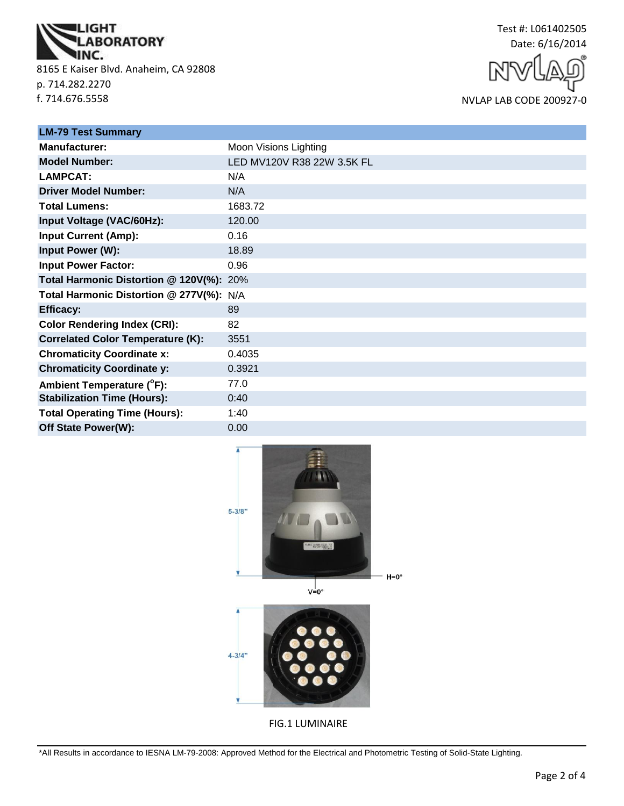

8165 E Kaiser Blvd. Anaheim, CA 92808 p. 714.282.2270 f. 714.676.5558



NVLAP LAB CODE 200927-0

| <b>LM-79 Test Summary</b>                |                            |  |
|------------------------------------------|----------------------------|--|
| <b>Manufacturer:</b>                     | Moon Visions Lighting      |  |
| <b>Model Number:</b>                     | LED MV120V R38 22W 3.5K FL |  |
| <b>LAMPCAT:</b>                          | N/A                        |  |
| <b>Driver Model Number:</b>              | N/A                        |  |
| <b>Total Lumens:</b>                     | 1683.72                    |  |
| Input Voltage (VAC/60Hz):                | 120.00                     |  |
| <b>Input Current (Amp):</b>              | 0.16                       |  |
| Input Power (W):                         | 18.89                      |  |
| <b>Input Power Factor:</b>               | 0.96                       |  |
| Total Harmonic Distortion @ 120V(%): 20% |                            |  |
| Total Harmonic Distortion @ 277V(%): N/A |                            |  |
| <b>Efficacy:</b>                         | 89                         |  |
| <b>Color Rendering Index (CRI):</b>      | 82                         |  |
| <b>Correlated Color Temperature (K):</b> | 3551                       |  |
| <b>Chromaticity Coordinate x:</b>        | 0.4035                     |  |
| <b>Chromaticity Coordinate y:</b>        | 0.3921                     |  |
| Ambient Temperature (°F):                | 77.0                       |  |
| <b>Stabilization Time (Hours):</b>       | 0:40                       |  |
| <b>Total Operating Time (Hours):</b>     | 1:40                       |  |
| Off State Power(W):                      | 0.00                       |  |





FIG.1 LUMINAIRE

\*All Results in accordance to IESNA LM-79-2008: Approved Method for the Electrical and Photometric Testing of Solid-State Lighting.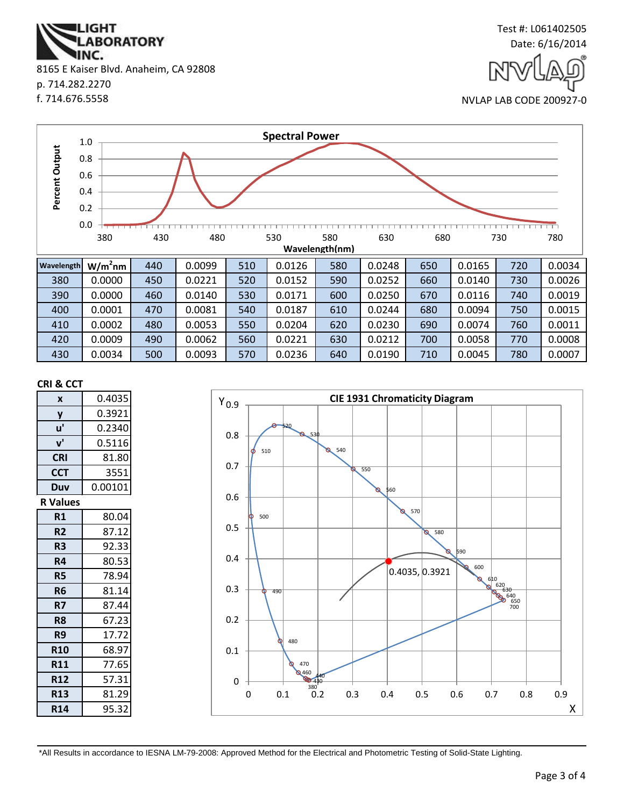\*All Results in accordance to IESNA LM-79-2008: Approved Method for the Electrical and Photometric Testing of Solid-State Lighting.

0

0.1

0.2

0.3

0 0.1 0.2 0.3 0.4 0.5 0.6 0.7 0.8 0.9

480

490

X

 $620$ <br>  $630$ <br>  $640$ <br>  $650$ <br>  $700$ 



**Wavelength W/m<sup>2</sup>**

0.0 0.2 0.4 0.6 0.8 1.0

**Percent Output**

Percent Output

**CRI & CCT**

**x** 0.4035



**nm** 440 0.0099 510 0.0126 580 0.0248 650 0.0165 720 0.0034

380 430 480 530 580 630 680 730 780 **Wavelength(nm)**

380 0.0000 450 0.0221 520 0.0152 590 0.0252 660 0.0140 730 0.0026 390 0.0000 460 0.0140 530 0.0171 600 0.0250 670 0.0116 740 0.0019

**Spectral Power**

## IINC. 8165 E Kaiser Blvd. Anaheim, CA 92808 p. 714.282.2270 f. 714.676.5558

**ABORATORY** 

IGHT



Test #: L061402505

NVLAP LAB CODE 200927-0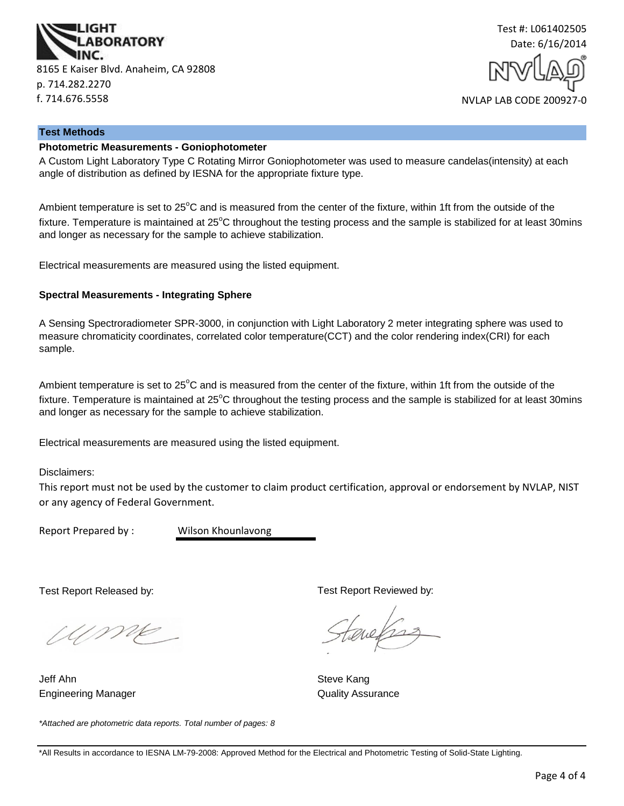



#### **Test Methods**

## **Photometric Measurements - Goniophotometer**

A Custom Light Laboratory Type C Rotating Mirror Goniophotometer was used to measure candelas(intensity) at each angle of distribution as defined by IESNA for the appropriate fixture type.

Ambient temperature is set to  $25^{\circ}$ C and is measured from the center of the fixture, within 1ft from the outside of the fixture. Temperature is maintained at  $25^{\circ}$ C throughout the testing process and the sample is stabilized for at least 30mins and longer as necessary for the sample to achieve stabilization.

Electrical measurements are measured using the listed equipment.

#### **Spectral Measurements - Integrating Sphere**

A Sensing Spectroradiometer SPR-3000, in conjunction with Light Laboratory 2 meter integrating sphere was used to measure chromaticity coordinates, correlated color temperature(CCT) and the color rendering index(CRI) for each sample.

Ambient temperature is set to  $25^{\circ}$ C and is measured from the center of the fixture, within 1ft from the outside of the fixture. Temperature is maintained at  $25^{\circ}$ C throughout the testing process and the sample is stabilized for at least 30mins and longer as necessary for the sample to achieve stabilization.

Electrical measurements are measured using the listed equipment.

Disclaimers:

This report must not be used by the customer to claim product certification, approval or endorsement by NVLAP, NIST or any agency of Federal Government.

Report Prepared by : Wilson Khounlavong

Test Report Released by:

UME

Jeff Ahn Steve Kang Engineering Manager **Contract Contract Contract Contract Contract Contract Contract Contract Contract Contract Contract Contract Contract Contract Contract Contract Contract Contract Contract Contract Contract Contract Con** 

*\*Attached are photometric data reports. Total number of pages: 8*

Test Report Reviewed by:

quels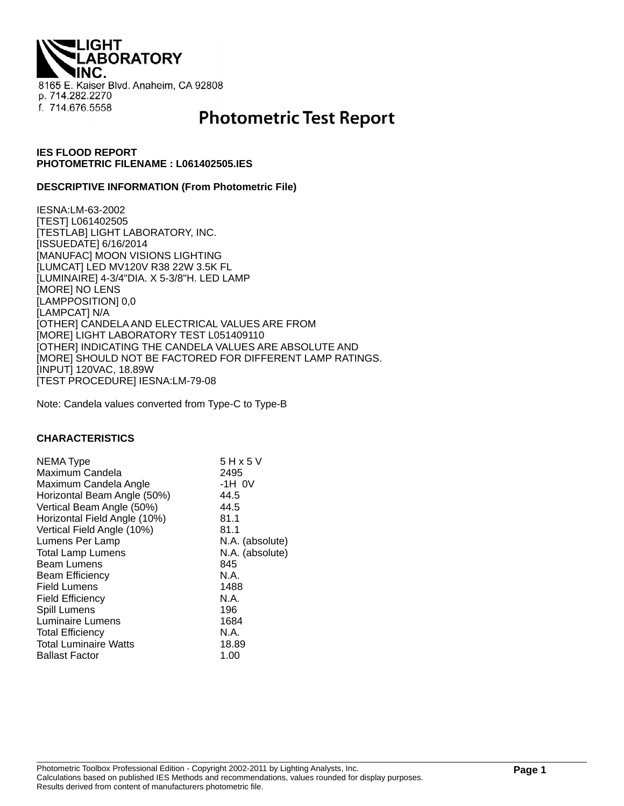**IGHT ABORATORY** 8165 E. Kaiser Blvd. Anaheim, CA 92808 p. 714.282.2270 f. 714.676.5558

# **Photometric Test Report**

## **IES FLOOD REPORT PHOTOMETRIC FILENAME : L061402505.IES**

#### **DESCRIPTIVE INFORMATION (From Photometric File)**

IESNA:LM-63-2002 [TEST] L061402505 [TESTLAB] LIGHT LABORATORY, INC. [ISSUEDATE] 6/16/2014 [MANUFAC] MOON VISIONS LIGHTING [LUMCAT] LED MV120V R38 22W 3.5K FL [LUMINAIRE] 4-3/4"DIA. X 5-3/8"H. LED LAMP [MORE] NO LENS [LAMPPOSITION] 0,0 [LAMPCAT] N/A [OTHER] CANDELA AND ELECTRICAL VALUES ARE FROM [MORE] LIGHT LABORATORY TEST L051409110 [OTHER] INDICATING THE CANDELA VALUES ARE ABSOLUTE AND [MORE] SHOULD NOT BE FACTORED FOR DIFFERENT LAMP RATINGS. [INPUT] 120VAC, 18.89W [TEST PROCEDURE] IESNA:LM-79-08

Note: Candela values converted from Type-C to Type-B

#### **CHARACTERISTICS**

| NEMA Type                    | 5 H x 5 V       |
|------------------------------|-----------------|
| Maximum Candela              | 2495            |
| Maximum Candela Angle        | $-1H$ OV        |
| Horizontal Beam Angle (50%)  | 44.5            |
| Vertical Beam Angle (50%)    | 44.5            |
| Horizontal Field Angle (10%) | 81.1            |
| Vertical Field Angle (10%)   | 81.1            |
| Lumens Per Lamp              | N.A. (absolute) |
| <b>Total Lamp Lumens</b>     | N.A. (absolute) |
| <b>Beam Lumens</b>           | 845             |
| <b>Beam Efficiency</b>       | N.A.            |
| <b>Field Lumens</b>          | 1488            |
| <b>Field Efficiency</b>      | N.A.            |
| Spill Lumens                 | 196             |
| <b>Luminaire Lumens</b>      | 1684            |
| <b>Total Efficiency</b>      | N.A.            |
| <b>Total Luminaire Watts</b> | 18.89           |
| <b>Ballast Factor</b>        | 1.00            |
|                              |                 |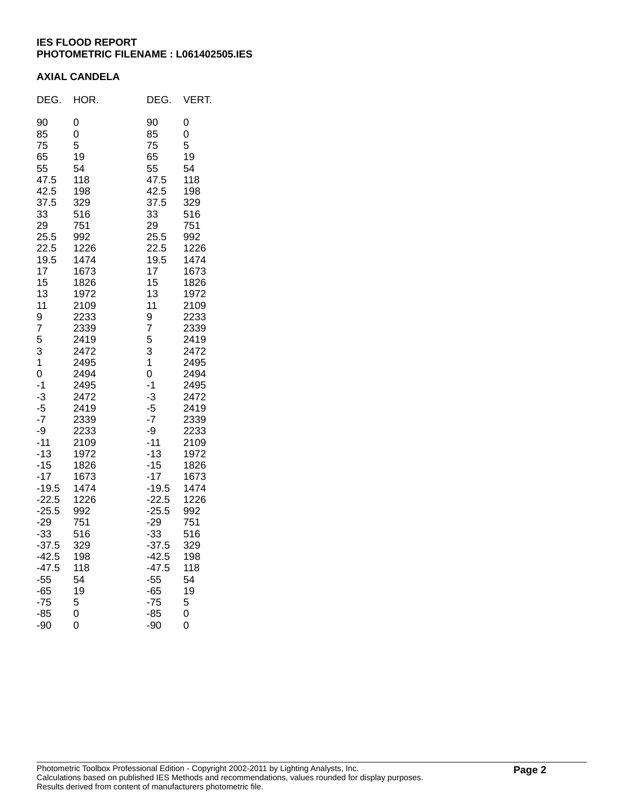## **IES FLOOD REPORT PHOTOMETRIC FILENAME : L061402505.IES**

## **AXIAL CANDELA**

| DEG.                                                                                                                                                                                                                                                                                                                                  | HOR.                                                                                                                                                                                                                                                                                                                 | DEG.                                                                                                                                                                                                                                                                                                                                  | VERT.                                                                                                                                                                                                                                                                                                                |
|---------------------------------------------------------------------------------------------------------------------------------------------------------------------------------------------------------------------------------------------------------------------------------------------------------------------------------------|----------------------------------------------------------------------------------------------------------------------------------------------------------------------------------------------------------------------------------------------------------------------------------------------------------------------|---------------------------------------------------------------------------------------------------------------------------------------------------------------------------------------------------------------------------------------------------------------------------------------------------------------------------------------|----------------------------------------------------------------------------------------------------------------------------------------------------------------------------------------------------------------------------------------------------------------------------------------------------------------------|
| 90<br>85<br>75<br>65<br>55<br>47.5<br>42.5<br>37.5<br>33<br>29<br>25.5<br>22.5<br>19.5<br>17<br>15<br>13<br>11<br>9<br>7<br>5<br>3<br>1<br>0<br>$-1$<br>$-3$<br>$-5$<br>$-7$<br>-9<br>$-11$<br>$-13$<br>$-15$<br>$-17$<br>$-19.5$<br>$-22.5$<br>$-25.5$<br>$-29$<br>$-33$<br>$-37.5$<br>$-42.5$<br>$-47.5$<br>$-55$<br>$-65$<br>$-75$ | 0<br>0<br>5<br>19<br>54<br>118<br>198<br>329<br>516<br>751<br>992<br>1226<br>1474<br>1673<br>1826<br>1972<br>2109<br>2233<br>2339<br>2419<br>2472<br>2495<br>2494<br>2495<br>2472<br>2419<br>2339<br>2233<br>2109<br>1972<br>1826<br>1673<br>1474<br>1226<br>992<br>751<br>516<br>329<br>198<br>118<br>54<br>19<br>5 | 90<br>85<br>75<br>65<br>55<br>47.5<br>42.5<br>37.5<br>33<br>29<br>25.5<br>22.5<br>19.5<br>17<br>15<br>13<br>11<br>9<br>7<br>5<br>3<br>1<br>0<br>$-1$<br>$-3$<br>$-5$<br>$-7$<br>-9<br>$-11$<br>$-13$<br>$-15$<br>$-17$<br>$-19.5$<br>$-22.5$<br>$-25.5$<br>$-29$<br>$-33$<br>$-37.5$<br>$-42.5$<br>$-47.5$<br>$-55$<br>$-65$<br>$-75$ | 0<br>0<br>5<br>19<br>54<br>118<br>198<br>329<br>516<br>751<br>992<br>1226<br>1474<br>1673<br>1826<br>1972<br>2109<br>2233<br>2339<br>2419<br>2472<br>2495<br>2494<br>2495<br>2472<br>2419<br>2339<br>2233<br>2109<br>1972<br>1826<br>1673<br>1474<br>1226<br>992<br>751<br>516<br>329<br>198<br>118<br>54<br>19<br>5 |
| $-85$<br>$-90$                                                                                                                                                                                                                                                                                                                        | 0<br>0                                                                                                                                                                                                                                                                                                               | $-85$<br>-90                                                                                                                                                                                                                                                                                                                          | 0<br>0                                                                                                                                                                                                                                                                                                               |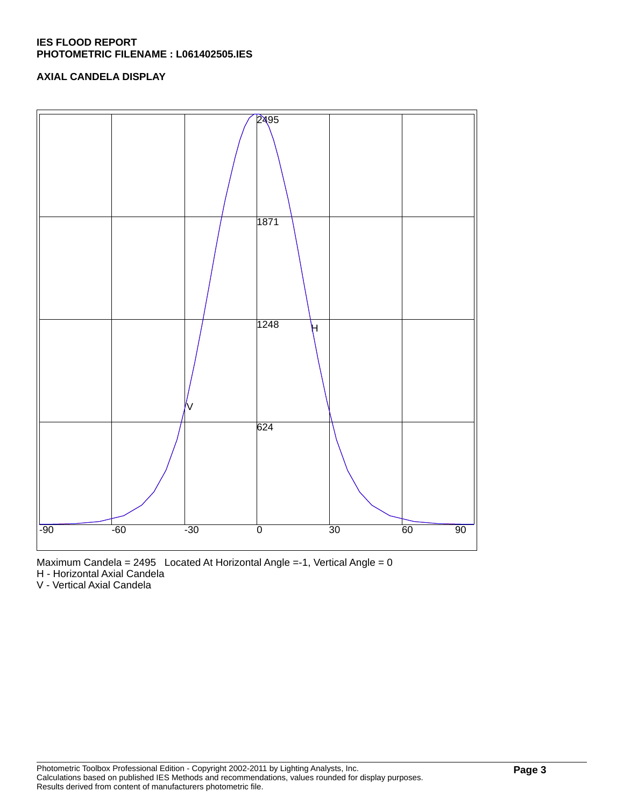## **IES FLOOD REPORT PHOTOMETRIC FILENAME : L061402505.IES**

## **AXIAL CANDELA DISPLAY**





H - Horizontal Axial Candela

V - Vertical Axial Candela